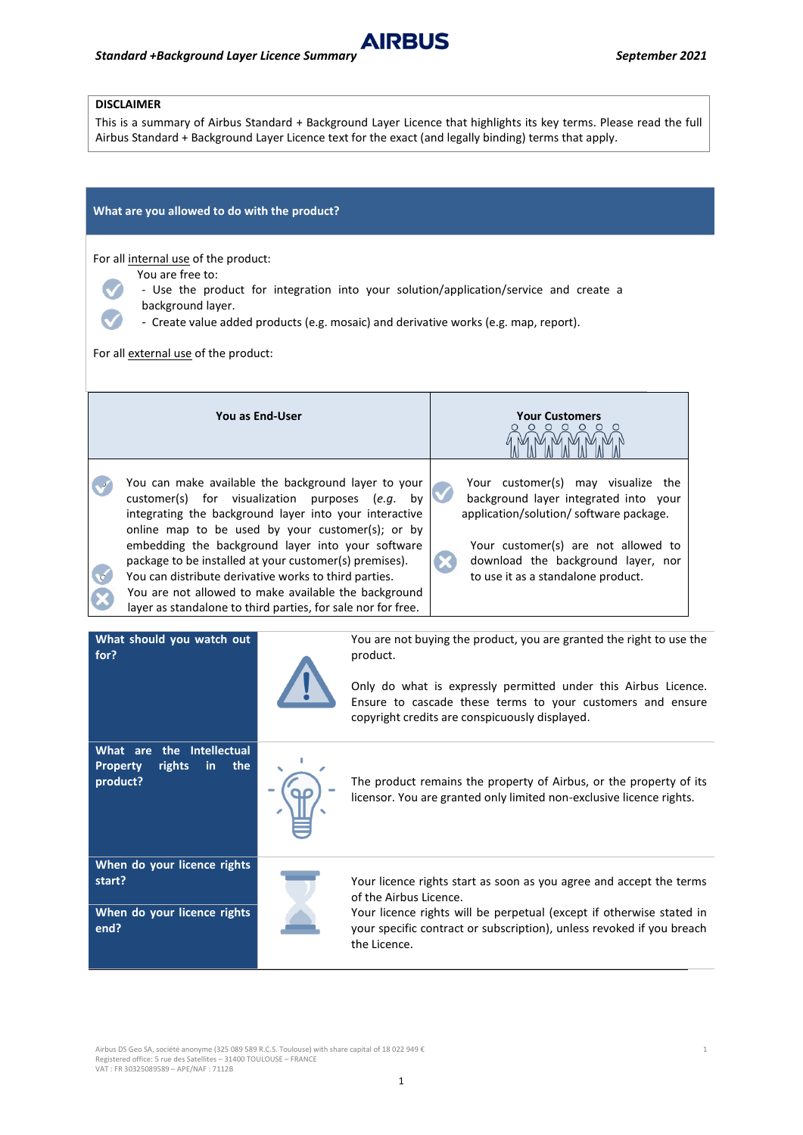## **DISCLAIMER**

This is a summary of Airbus Standard + Background Layer Licence that highlights its key terms. Please read the full Airbus Standard + Background Layer Licence text for the exact (and legally binding) terms that apply.

**AIRBUS** 

| What are you allowed to do with the product?                                                                                                                                                                                                                                                                                                                                                                                                                                                                               |                                                                                                                                                                                                                                                                    |                                                                                                                                                                                                                                           |
|----------------------------------------------------------------------------------------------------------------------------------------------------------------------------------------------------------------------------------------------------------------------------------------------------------------------------------------------------------------------------------------------------------------------------------------------------------------------------------------------------------------------------|--------------------------------------------------------------------------------------------------------------------------------------------------------------------------------------------------------------------------------------------------------------------|-------------------------------------------------------------------------------------------------------------------------------------------------------------------------------------------------------------------------------------------|
| For all internal use of the product:<br>You are free to:<br>- Use the product for integration into your solution/application/service and create a<br>background layer.<br>- Create value added products (e.g. mosaic) and derivative works (e.g. map, report).<br>For all external use of the product:                                                                                                                                                                                                                     |                                                                                                                                                                                                                                                                    |                                                                                                                                                                                                                                           |
| You as End-User                                                                                                                                                                                                                                                                                                                                                                                                                                                                                                            |                                                                                                                                                                                                                                                                    | <b>Your Customers</b>                                                                                                                                                                                                                     |
| You can make available the background layer to your<br>customer(s) for visualization<br>purposes (e.g.<br>by<br>integrating the background layer into your interactive<br>online map to be used by your customer(s); or by<br>embedding the background layer into your software<br>package to be installed at your customer(s) premises).<br>You can distribute derivative works to third parties.<br>You are not allowed to make available the background<br>layer as standalone to third parties, for sale nor for free. |                                                                                                                                                                                                                                                                    | Your customer(s) may visualize the<br>background layer integrated into your<br>application/solution/ software package.<br>Your customer(s) are not allowed to<br>download the background layer, nor<br>to use it as a standalone product. |
| What should you watch out<br>for?                                                                                                                                                                                                                                                                                                                                                                                                                                                                                          | You are not buying the product, you are granted the right to use the<br>product.<br>Only do what is expressly permitted under this Airbus Licence.<br>Ensure to cascade these terms to your customers and ensure<br>copyright credits are conspicuously displayed. |                                                                                                                                                                                                                                           |
| What are the Intellectual<br><b>Property</b><br>rights<br>in<br>the                                                                                                                                                                                                                                                                                                                                                                                                                                                        |                                                                                                                                                                                                                                                                    |                                                                                                                                                                                                                                           |

**product?** The product remains the property of Airbus, or the property of its licensor. You are granted only limited non-exclusive licence rights.

**When do your licence rights start?** *Start Your licence rights start as soon as you agree and accept the terms* 

**When do your licence rights end?**



of the Airbus Licence. Your licence rights will be perpetual (except if otherwise stated in your specific contract or subscription), unless revoked if you breach the Licence.

Airbus DS Geo SA, société anonyme (325 089 589 R.C.S. Toulouse) with share capital of 18 022 949 €<br>Registered office: 5 rue des Satellites – 31400 TOULOUSE – FRANCE VAT : FR 30325089589 – APE/NAF : 7112B